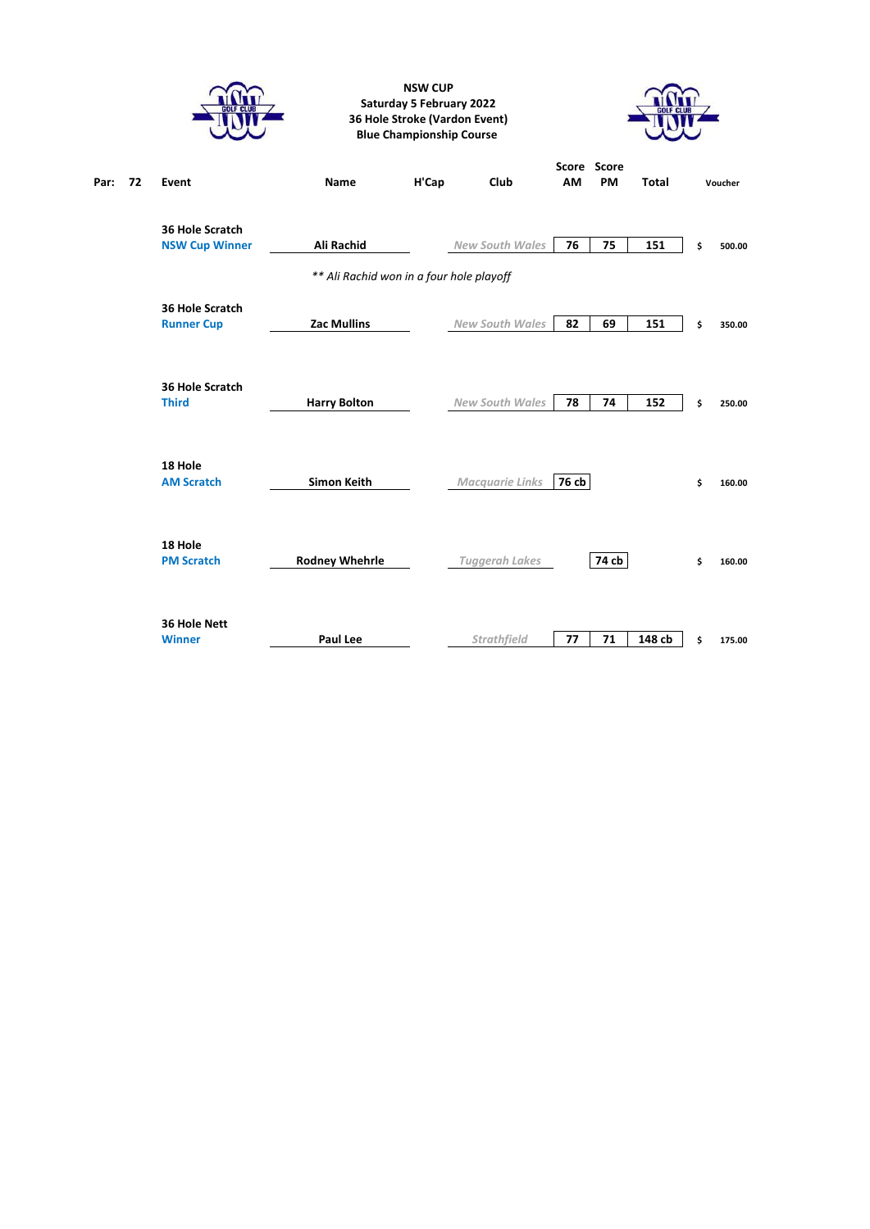|            |                                          |                                          | <b>NSW CUP</b><br><b>Saturday 5 February 2022</b><br><b>Blue Championship Course</b> | 36 Hole Stroke (Vardon Event) |       |                   |              |              |  |
|------------|------------------------------------------|------------------------------------------|--------------------------------------------------------------------------------------|-------------------------------|-------|-------------------|--------------|--------------|--|
| Par:<br>72 | Event                                    | Name                                     | H'Cap                                                                                | Club                          | AM    | Score Score<br>PM | <b>Total</b> | Voucher      |  |
|            | 36 Hole Scratch<br><b>NSW Cup Winner</b> | Ali Rachid                               |                                                                                      | <b>New South Wales</b>        | 76    | 75                | 151          | \$<br>500.00 |  |
|            |                                          | ** Ali Rachid won in a four hole playoff |                                                                                      |                               |       |                   |              |              |  |
|            | 36 Hole Scratch<br><b>Runner Cup</b>     | <b>Zac Mullins</b>                       |                                                                                      | <b>New South Wales</b>        | 82    | 69                | 151          | \$<br>350.00 |  |
|            | 36 Hole Scratch<br><b>Third</b>          | <b>Harry Bolton</b>                      |                                                                                      | <b>New South Wales</b>        | 78    | 74                | 152          | \$<br>250.00 |  |
|            | 18 Hole<br><b>AM Scratch</b>             | <b>Simon Keith</b>                       |                                                                                      | <b>Macquarie Links</b>        | 76 cb |                   |              | \$<br>160.00 |  |
|            | 18 Hole<br><b>PM Scratch</b>             | <b>Rodney Whehrle</b>                    |                                                                                      | <b>Tuggerah Lakes</b>         |       | 74 cb             |              | \$<br>160.00 |  |
|            | 36 Hole Nett<br><b>Winner</b>            | Paul Lee                                 |                                                                                      | <b>Strathfield</b>            | 77    | 71                | 148 cb       | \$<br>175.00 |  |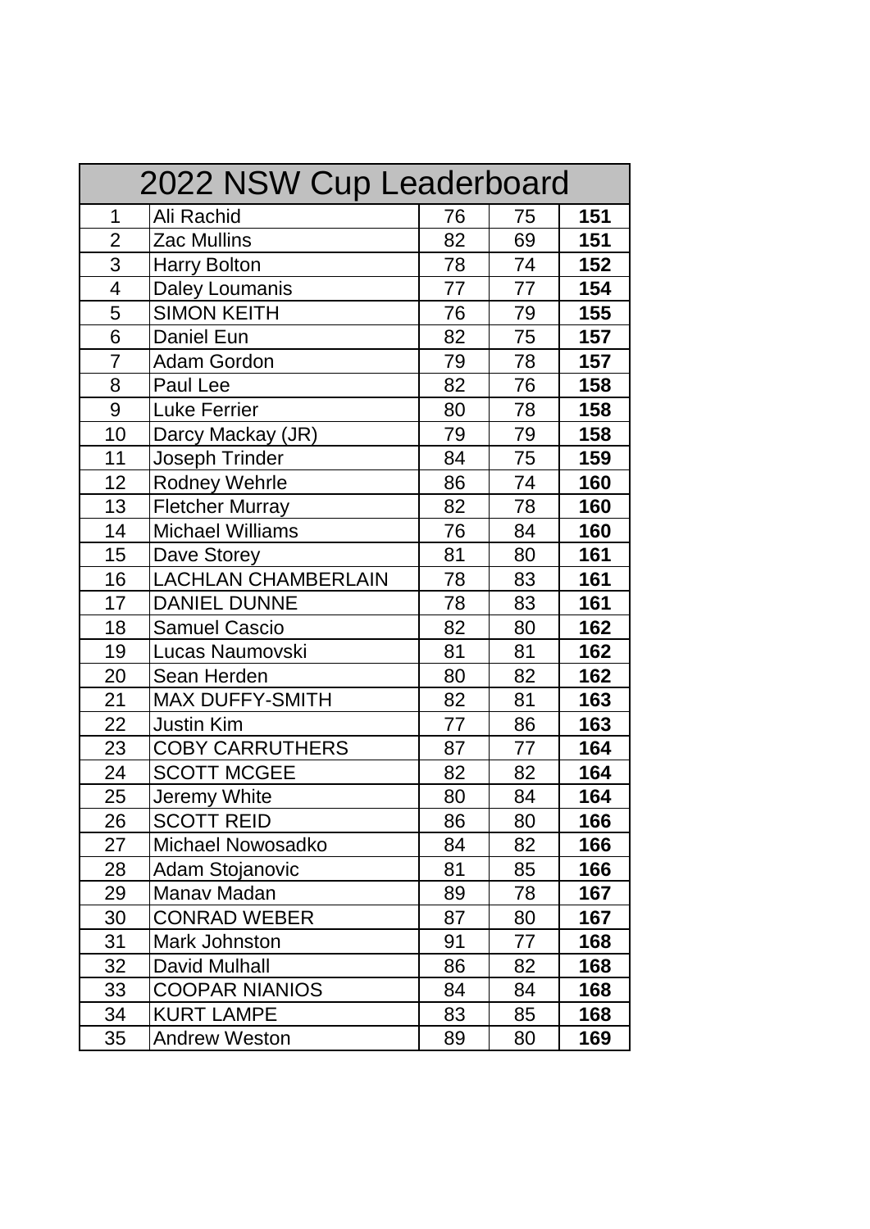| 2022 NSW Cup Leaderboard |                            |    |    |     |  |
|--------------------------|----------------------------|----|----|-----|--|
| 1                        | Ali Rachid                 | 76 | 75 | 151 |  |
| $\overline{2}$           | Zac Mullins                | 82 | 69 | 151 |  |
| 3                        | <b>Harry Bolton</b>        | 78 | 74 | 152 |  |
| 4                        | <b>Daley Loumanis</b>      | 77 | 77 | 154 |  |
| 5                        | <b>SIMON KEITH</b>         | 76 | 79 | 155 |  |
| 6                        | Daniel Eun                 | 82 | 75 | 157 |  |
| $\overline{7}$           | Adam Gordon                | 79 | 78 | 157 |  |
| 8                        | Paul Lee                   | 82 | 76 | 158 |  |
| 9                        | <b>Luke Ferrier</b>        | 80 | 78 | 158 |  |
| 10                       | Darcy Mackay (JR)          | 79 | 79 | 158 |  |
| 11                       | Joseph Trinder             | 84 | 75 | 159 |  |
| 12                       | <b>Rodney Wehrle</b>       | 86 | 74 | 160 |  |
| 13                       | <b>Fletcher Murray</b>     | 82 | 78 | 160 |  |
| 14                       | <b>Michael Williams</b>    | 76 | 84 | 160 |  |
| 15                       | Dave Storey                | 81 | 80 | 161 |  |
| 16                       | <b>LACHLAN CHAMBERLAIN</b> | 78 | 83 | 161 |  |
| 17                       | <b>DANIEL DUNNE</b>        | 78 | 83 | 161 |  |
| 18                       | <b>Samuel Cascio</b>       | 82 | 80 | 162 |  |
| 19                       | Lucas Naumovski            | 81 | 81 | 162 |  |
| 20                       | Sean Herden                | 80 | 82 | 162 |  |
| 21                       | <b>MAX DUFFY-SMITH</b>     | 82 | 81 | 163 |  |
| 22                       | <b>Justin Kim</b>          | 77 | 86 | 163 |  |
| 23                       | <b>COBY CARRUTHERS</b>     | 87 | 77 | 164 |  |
| 24                       | <b>SCOTT MCGEE</b>         | 82 | 82 | 164 |  |
| 25                       | Jeremy White               | 80 | 84 | 164 |  |
| 26                       | <b>SCOTT REID</b>          | 86 | 80 | 166 |  |
| 27                       | Michael Nowosadko          | 84 | 82 | 166 |  |
| 28                       | Adam Stojanovic            | 81 | 85 | 166 |  |
| 29                       | Manav Madan                | 89 | 78 | 167 |  |
| 30                       | <b>CONRAD WEBER</b>        | 87 | 80 | 167 |  |
| 31                       | Mark Johnston              | 91 | 77 | 168 |  |
| 32                       | David Mulhall              | 86 | 82 | 168 |  |
| 33                       | <b>COOPAR NIANIOS</b>      | 84 | 84 | 168 |  |
| 34                       | <b>KURT LAMPE</b>          | 83 | 85 | 168 |  |
| 35                       | <b>Andrew Weston</b>       | 89 | 80 | 169 |  |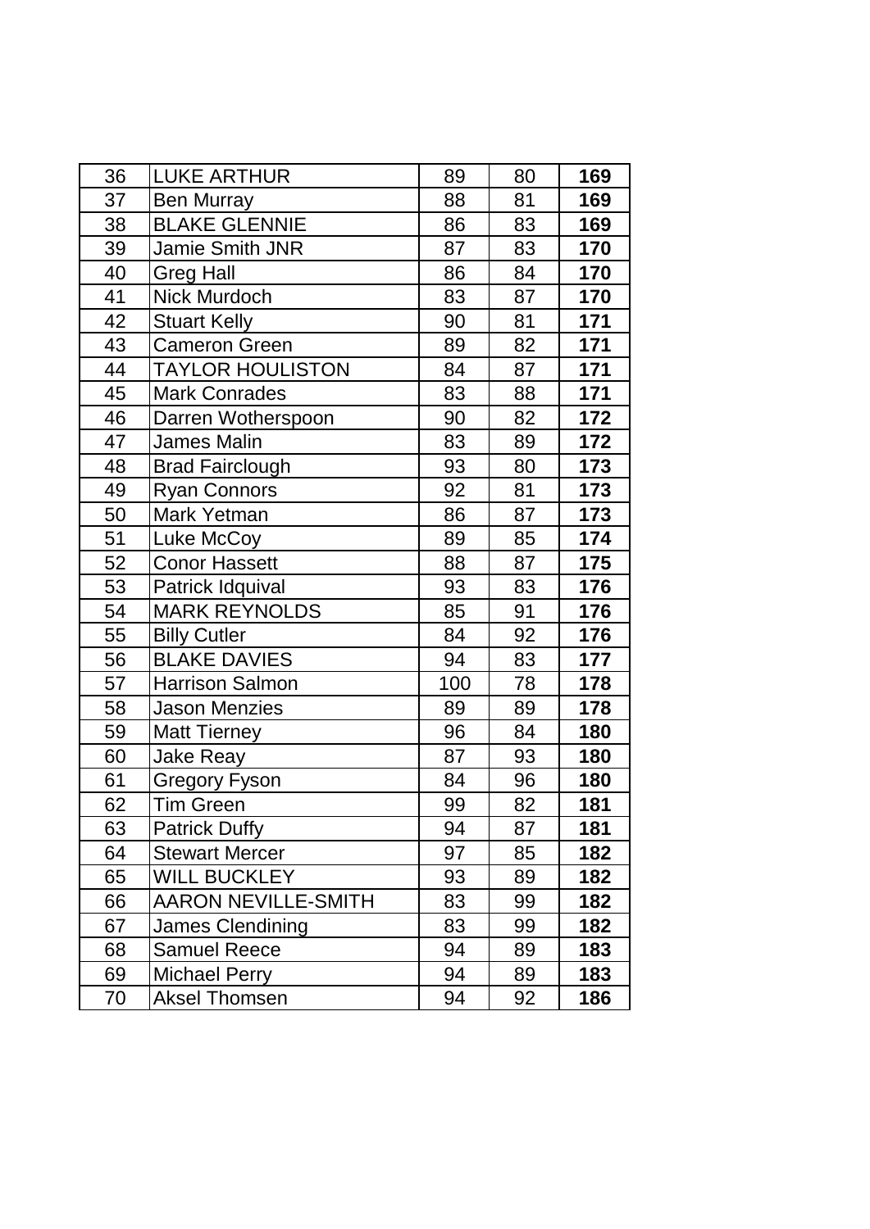| 36 | <b>LUKE ARTHUR</b>         | 89  | 80 | 169 |
|----|----------------------------|-----|----|-----|
| 37 | <b>Ben Murray</b>          | 88  | 81 | 169 |
| 38 | <b>BLAKE GLENNIE</b>       | 86  | 83 | 169 |
| 39 | Jamie Smith JNR            | 87  | 83 | 170 |
| 40 | <b>Greg Hall</b>           | 86  | 84 | 170 |
| 41 | Nick Murdoch               | 83  | 87 | 170 |
| 42 | <b>Stuart Kelly</b>        | 90  | 81 | 171 |
| 43 | <b>Cameron Green</b>       | 89  | 82 | 171 |
| 44 | <b>TAYLOR HOULISTON</b>    | 84  | 87 | 171 |
| 45 | <b>Mark Conrades</b>       | 83  | 88 | 171 |
| 46 | Darren Wotherspoon         | 90  | 82 | 172 |
| 47 | <b>James Malin</b>         | 83  | 89 | 172 |
| 48 | <b>Brad Fairclough</b>     | 93  | 80 | 173 |
| 49 | <b>Ryan Connors</b>        | 92  | 81 | 173 |
| 50 | Mark Yetman                | 86  | 87 | 173 |
| 51 | Luke McCoy                 | 89  | 85 | 174 |
| 52 | <b>Conor Hassett</b>       | 88  | 87 | 175 |
| 53 | Patrick Idquival           | 93  | 83 | 176 |
| 54 | <b>MARK REYNOLDS</b>       | 85  | 91 | 176 |
| 55 | <b>Billy Cutler</b>        | 84  | 92 | 176 |
| 56 | <b>BLAKE DAVIES</b>        | 94  | 83 | 177 |
| 57 | <b>Harrison Salmon</b>     | 100 | 78 | 178 |
| 58 | <b>Jason Menzies</b>       | 89  | 89 | 178 |
| 59 | <b>Matt Tierney</b>        | 96  | 84 | 180 |
| 60 | <b>Jake Reay</b>           | 87  | 93 | 180 |
| 61 | <b>Gregory Fyson</b>       | 84  | 96 | 180 |
| 62 | <b>Tim Green</b>           | 99  | 82 | 181 |
| 63 | <b>Patrick Duffy</b>       | 94  | 87 | 181 |
| 64 | <b>Stewart Mercer</b>      | 97  | 85 | 182 |
| 65 | <b>WILL BUCKLEY</b>        | 93  | 89 | 182 |
| 66 | <b>AARON NEVILLE-SMITH</b> | 83  | 99 | 182 |
| 67 | <b>James Clendining</b>    | 83  | 99 | 182 |
| 68 | <b>Samuel Reece</b>        | 94  | 89 | 183 |
| 69 | <b>Michael Perry</b>       | 94  | 89 | 183 |
| 70 | <b>Aksel Thomsen</b>       | 94  | 92 | 186 |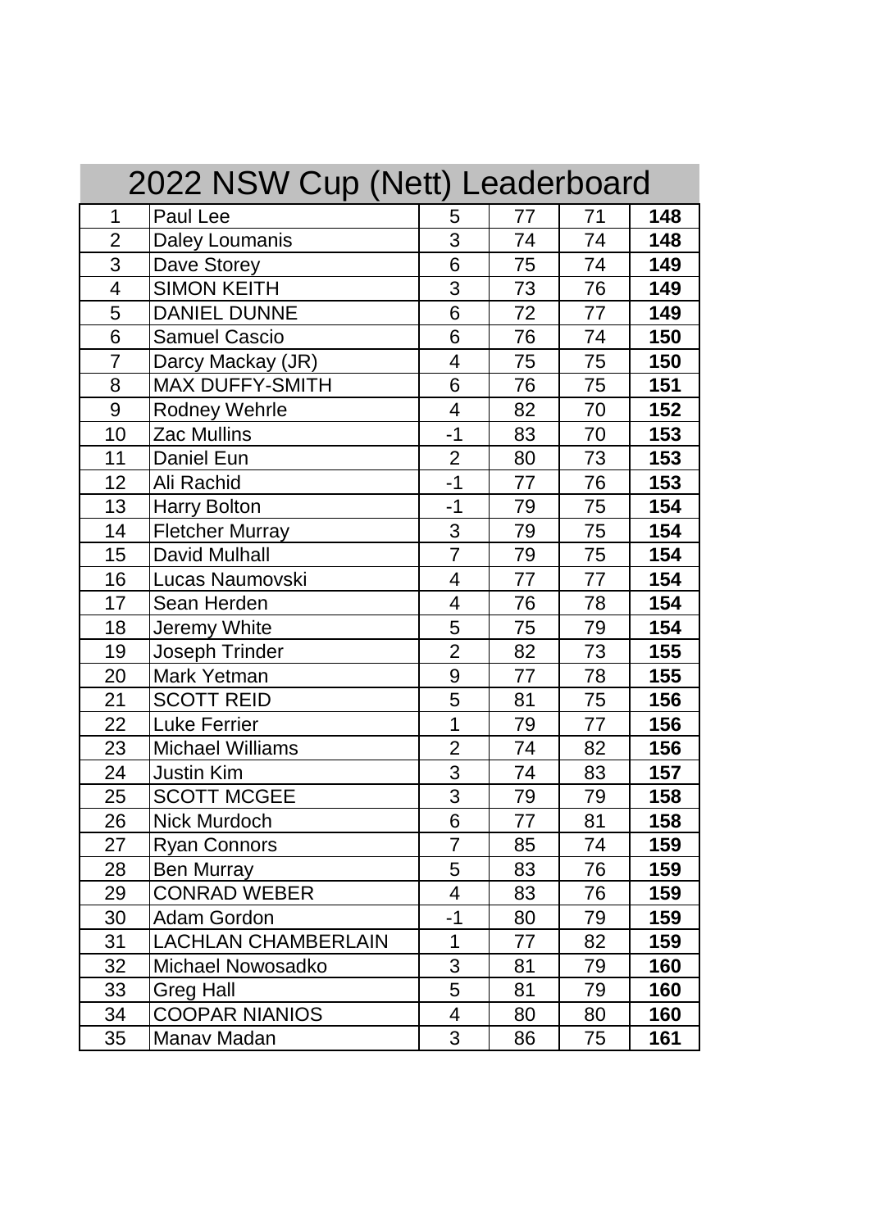| 2022 NSW Cup (Nett) Leaderboard |                            |                |    |    |     |
|---------------------------------|----------------------------|----------------|----|----|-----|
| 1                               | Paul Lee                   | 5              | 77 | 71 | 148 |
| $\overline{2}$                  | <b>Daley Loumanis</b>      | 3              | 74 | 74 | 148 |
| 3                               | Dave Storey                | 6              | 75 | 74 | 149 |
| $\overline{4}$                  | <b>SIMON KEITH</b>         | 3              | 73 | 76 | 149 |
| 5                               | <b>DANIEL DUNNE</b>        | 6              | 72 | 77 | 149 |
| 6                               | <b>Samuel Cascio</b>       | 6              | 76 | 74 | 150 |
| $\overline{7}$                  | Darcy Mackay (JR)          | 4              | 75 | 75 | 150 |
| 8                               | <b>MAX DUFFY-SMITH</b>     | 6              | 76 | 75 | 151 |
| 9                               | <b>Rodney Wehrle</b>       | 4              | 82 | 70 | 152 |
| 10                              | <b>Zac Mullins</b>         | $-1$           | 83 | 70 | 153 |
| 11                              | Daniel Eun                 | $\overline{2}$ | 80 | 73 | 153 |
| 12                              | Ali Rachid                 | $-1$           | 77 | 76 | 153 |
| 13                              | <b>Harry Bolton</b>        | $-1$           | 79 | 75 | 154 |
| 14                              | <b>Fletcher Murray</b>     | 3              | 79 | 75 | 154 |
| 15                              | <b>David Mulhall</b>       | $\overline{7}$ | 79 | 75 | 154 |
| 16                              | Lucas Naumovski            | $\overline{4}$ | 77 | 77 | 154 |
| 17                              | Sean Herden                | $\overline{4}$ | 76 | 78 | 154 |
| 18                              | Jeremy White               | 5              | 75 | 79 | 154 |
| 19                              | <b>Joseph Trinder</b>      | $\overline{2}$ | 82 | 73 | 155 |
| 20                              | Mark Yetman                | 9              | 77 | 78 | 155 |
| 21                              | <b>SCOTT REID</b>          | 5              | 81 | 75 | 156 |
| 22                              | <b>Luke Ferrier</b>        | $\overline{1}$ | 79 | 77 | 156 |
| 23                              | <b>Michael Williams</b>    | $\overline{2}$ | 74 | 82 | 156 |
| 24                              | <b>Justin Kim</b>          | 3              | 74 | 83 | 157 |
| 25                              | <b>SCOTT MCGEE</b>         | 3              | 79 | 79 | 158 |
| 26                              | Nick Murdoch               | 6              | 77 | 81 | 158 |
| 27                              | <b>Ryan Connors</b>        | $\overline{7}$ | 85 | 74 | 159 |
| 28                              | <b>Ben Murray</b>          | 5              | 83 | 76 | 159 |
| 29                              | <b>CONRAD WEBER</b>        | $\overline{4}$ | 83 | 76 | 159 |
| 30                              | Adam Gordon                | $-1$           | 80 | 79 | 159 |
| 31                              | <b>LACHLAN CHAMBERLAIN</b> | 1              | 77 | 82 | 159 |
| 32                              | <b>Michael Nowosadko</b>   | 3              | 81 | 79 | 160 |
| 33                              | <b>Greg Hall</b>           | 5              | 81 | 79 | 160 |
| 34                              | <b>COOPAR NIANIOS</b>      | $\overline{4}$ | 80 | 80 | 160 |
| 35                              | Manav Madan                | 3              | 86 | 75 | 161 |